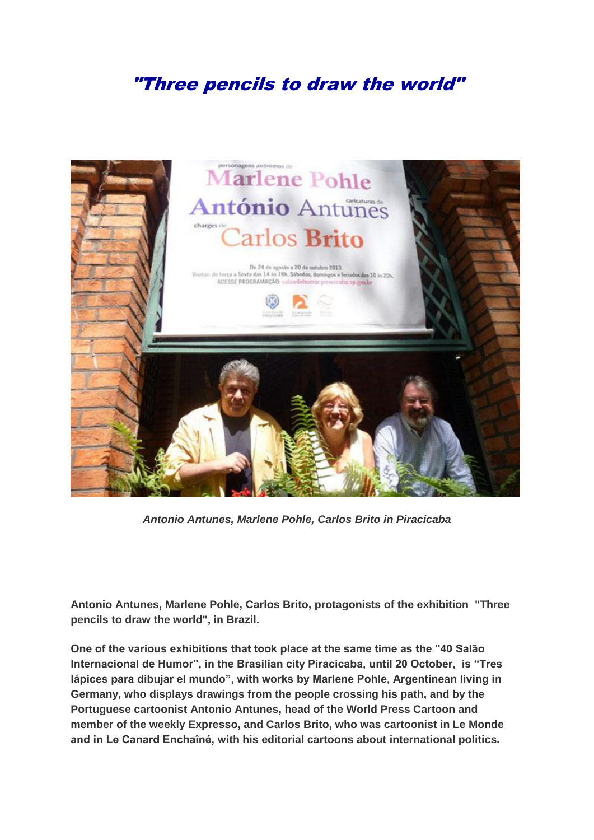## ["Three pencils to draw the world"](http://www.fecocartoon.com/index.php/festivals-and-exhibitions-mainmenu-46/list-mainmenu-45/918-three-pen-to-draw-the-world)



*Antonio Antunes, Marlene Pohle, Carlos Brito in Piracicaba*

**Antonio Antunes, Marlene Pohle, Carlos Brito, protagonists of the exhibition "Three pencils to draw the world", in Brazil.**

**One of the various exhibitions that took place at the same time as the "40 Salão Internacional de Humor", in the Brasilian city Piracicaba, until 20 October, is "Tres lápices para dibujar el mundo", with works by Marlene Pohle, Argentinean living in Germany, who displays drawings from the people crossing his path, and by the Portuguese cartoonist Antonio Antunes, head of the World Press Cartoon and member of the weekly Expresso, and Carlos Brito, who was cartoonist in Le Monde and in Le Canard Enchaîné, with his editorial cartoons about international politics.**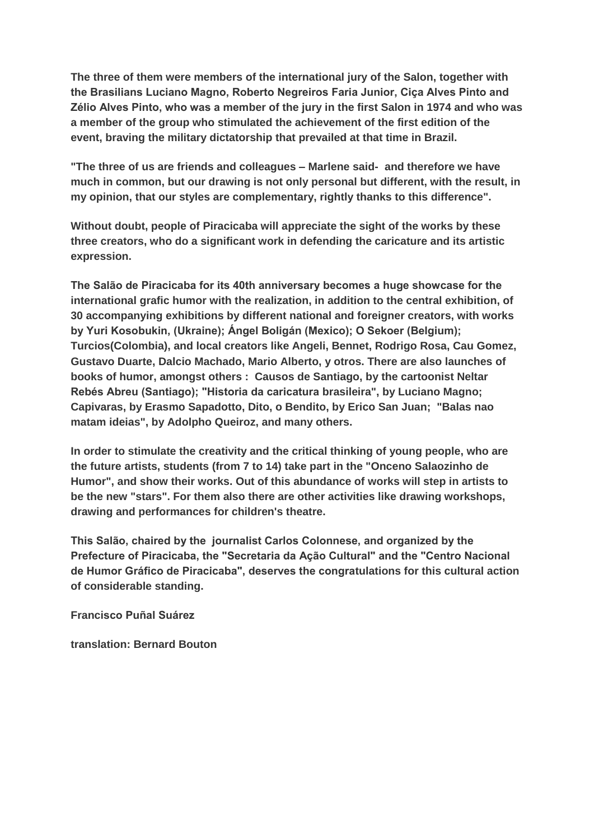**The three of them were members of the international jury of the Salon, together with the Brasilians Luciano Magno, Roberto Negreiros Faria Junior, Ciça Alves Pinto and Zélio Alves Pinto, who was a member of the jury in the first Salon in 1974 and who was a member of the group who stimulated the achievement of the first edition of the event, braving the military dictatorship that prevailed at that time in Brazil.**

**"The three of us are friends and colleagues – Marlene said- and therefore we have much in common, but our drawing is not only personal but different, with the result, in my opinion, that our styles are complementary, rightly thanks to this difference".**

**Without doubt, people of Piracicaba will appreciate the sight of the works by these three creators, who do a significant work in defending the caricature and its artistic expression.**

**The Salão de Piracicaba for its 40th anniversary becomes a huge showcase for the international grafic humor with the realization, in addition to the central exhibition, of 30 accompanying exhibitions by different national and foreigner creators, with works by Yuri Kosobukin, (Ukraine); Ángel Boligán (Mexico); O Sekoer (Belgium); Turcios(Colombia), and local creators like Angeli, Bennet, Rodrigo Rosa, Cau Gomez, Gustavo Duarte, Dalcio Machado, Mario Alberto, y otros. There are also launches of books of humor, amongst others : Causos de Santiago, by the cartoonist Neltar Rebés Abreu (Santiago); "Historia da caricatura brasileira", by Luciano Magno; Capivaras, by Erasmo Sapadotto, Dito, o Bendito, by Erico San Juan; "Balas nao matam ideias", by Adolpho Queiroz, and many others.**

**In order to stimulate the creativity and the critical thinking of young people, who are the future artists, students (from 7 to 14) take part in the "Onceno Salaozinho de Humor", and show their works. Out of this abundance of works will step in artists to be the new "stars". For them also there are other activities like drawing workshops, drawing and performances for children's theatre.**

**This Salão, chaired by the journalist Carlos Colonnese, and organized by the Prefecture of Piracicaba, the "Secretaria da Ação Cultural" and the "Centro Nacional de Humor Gráfico de Piracicaba", deserves the congratulations for this cultural action of considerable standing.**

**Francisco Puñal Suárez**

**translation: Bernard Bouton**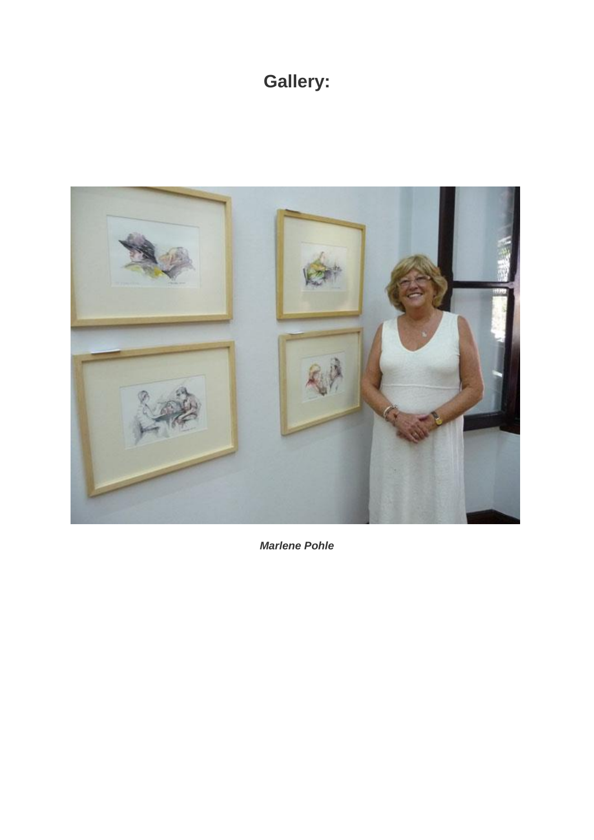## **Gallery:**



*Marlene Pohle*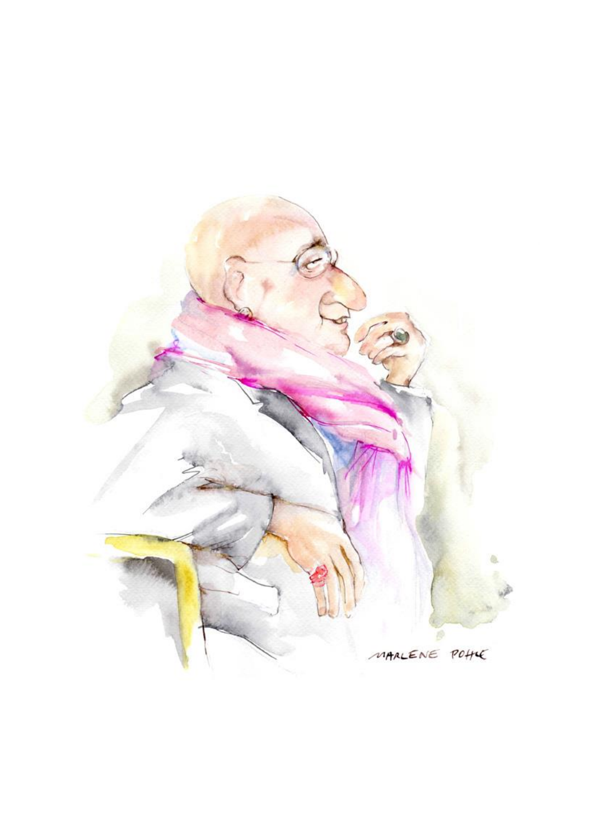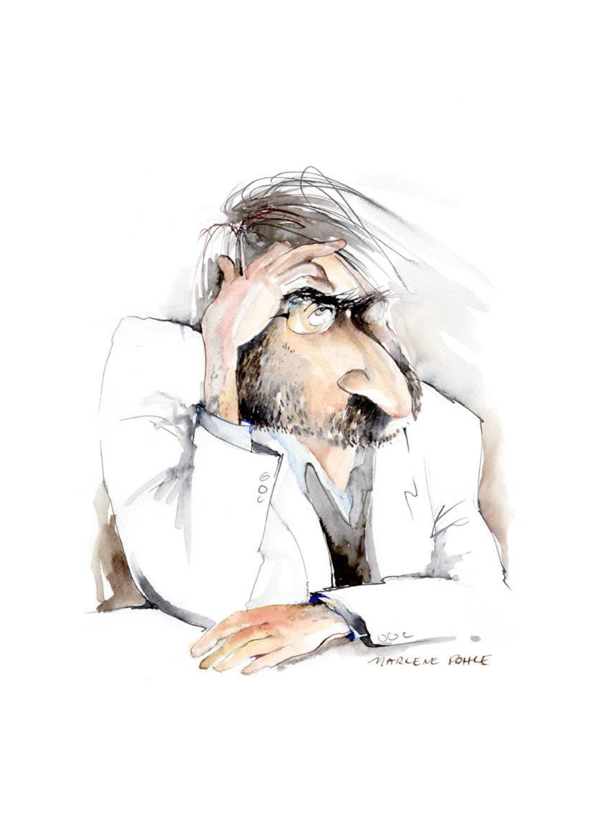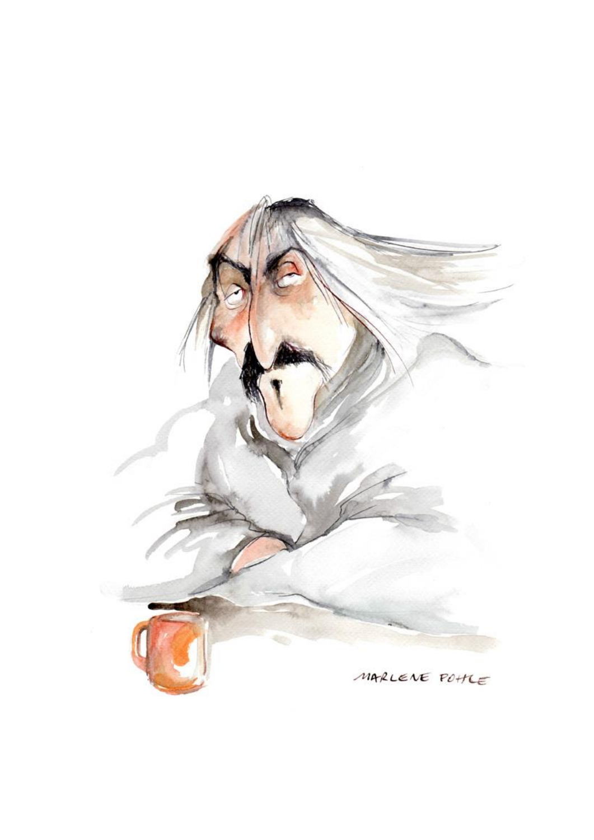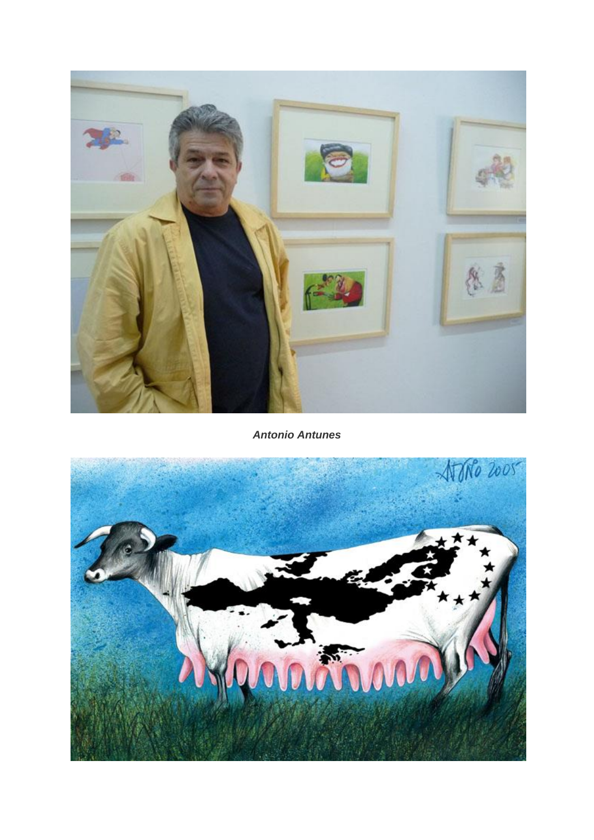

## *Antonio Antunes*

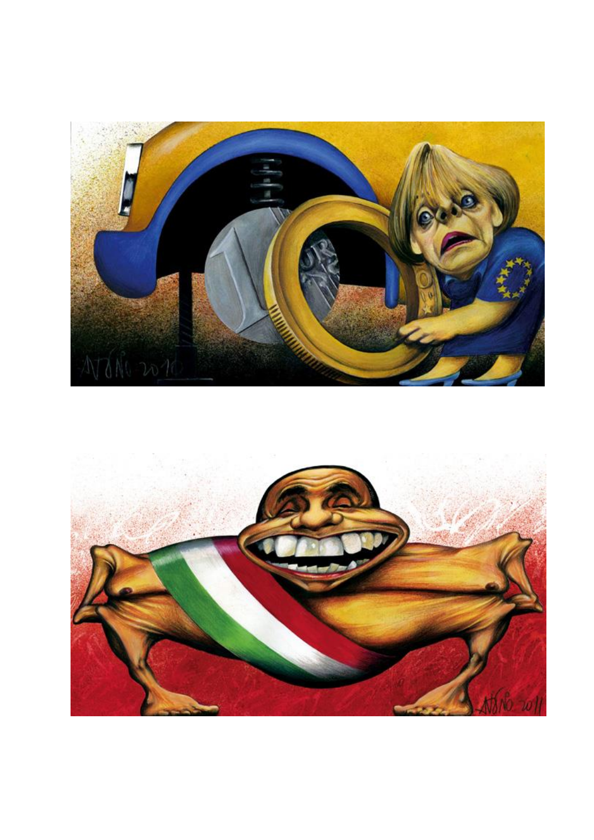

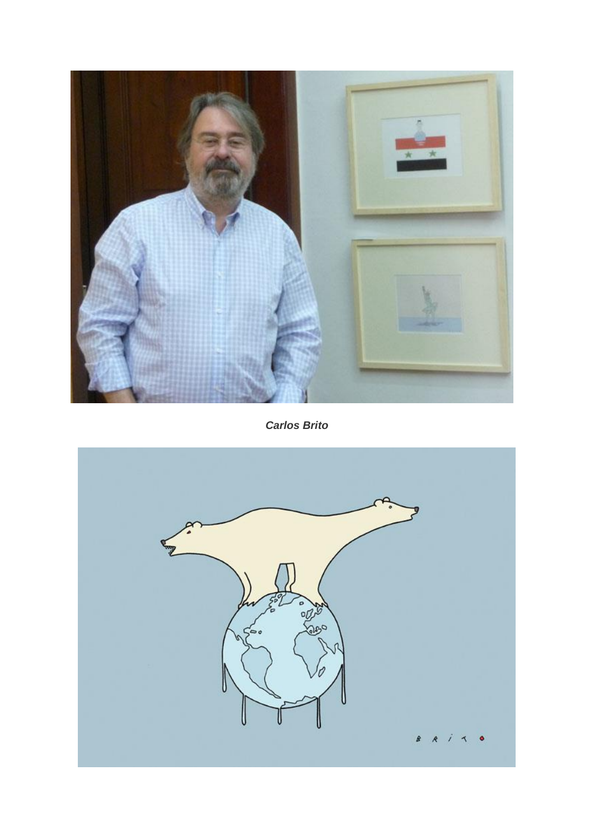

## *Carlos Brito*

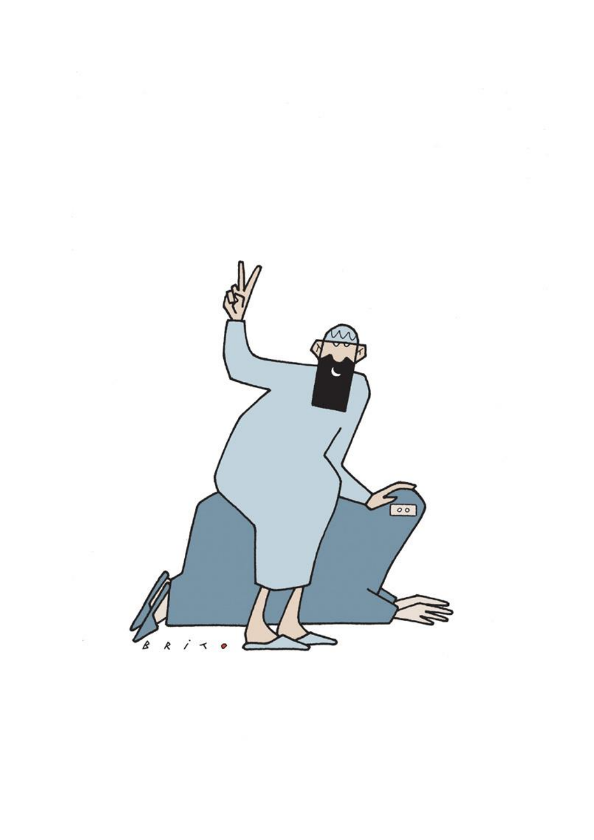